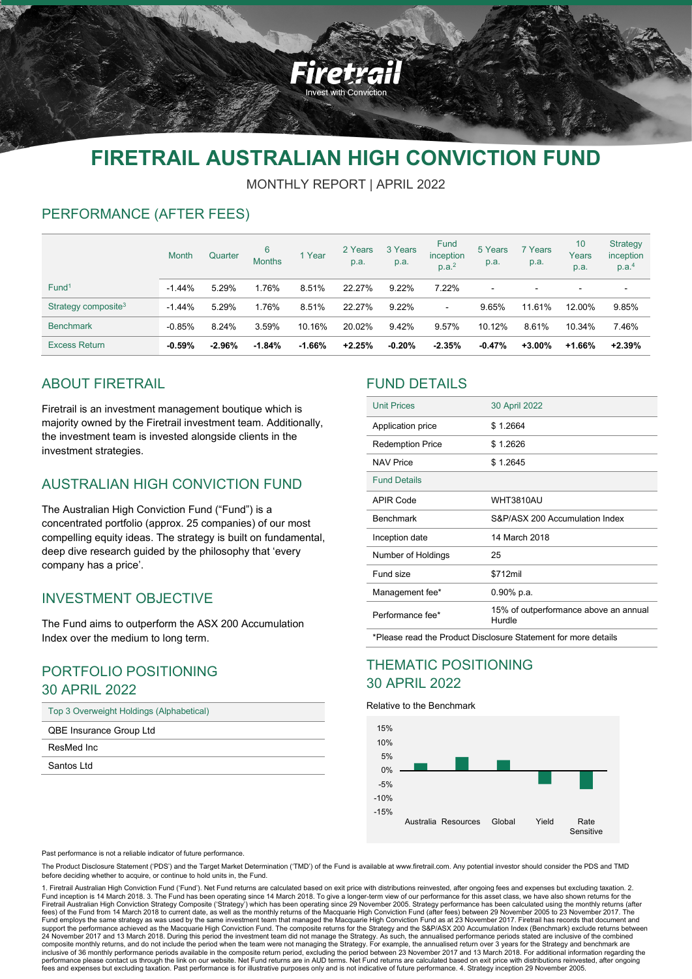

# **FIRETRAIL AUSTRALIAN HIGH CONVICTION FUND**

MONTHLY REPORT | APRIL 2022

# PERFORMANCE (AFTER FEES)

|                                 | <b>Month</b> | Quarter  | 6<br><b>Months</b> | 1 Year   | 2 Years<br>p.a. | 3 Years<br>p.a. | Fund<br>inception<br>p.a. <sup>2</sup> | 5 Years<br>p.a. | 7 Years<br>p.a.          | 10 <sup>°</sup><br>Years<br>p.a. | Strategy<br>inception<br>p.a. <sup>4</sup> |
|---------------------------------|--------------|----------|--------------------|----------|-----------------|-----------------|----------------------------------------|-----------------|--------------------------|----------------------------------|--------------------------------------------|
| Fund <sup>1</sup>               | $-1.44%$     | 5.29%    | 1.76%              | 8.51%    | 22.27%          | $9.22\%$        | 7.22%                                  | $\blacksquare$  | $\overline{\phantom{a}}$ | $\overline{\phantom{0}}$         | $\blacksquare$                             |
| Strategy composite <sup>3</sup> | $-1.44%$     | 5.29%    | 1.76%              | 8.51%    | 22.27%          | $9.22\%$        | $\blacksquare$                         | 9.65%           | 11.61%                   | 12.00%                           | 9.85%                                      |
| <b>Benchmark</b>                | $-0.85%$     | 8.24%    | 3.59%              | 10.16%   | 20.02%          | 9.42%           | 9.57%                                  | 10.12%          | 8.61%                    | 10.34%                           | 7.46%                                      |
| <b>Excess Return</b>            | $-0.59%$     | $-2.96%$ | $-1.84%$           | $-1.66%$ | $+2.25%$        | $-0.20%$        | $-2.35%$                               | $-0.47%$        | $+3.00\%$                | $+1.66%$                         | $+2.39%$                                   |

# ABOUT FIRETRAIL

Firetrail is an investment management boutique which is majority owned by the Firetrail investment team. Additionally, the investment team is invested alongside clients in the investment strategies.

# AUSTRALIAN HIGH CONVICTION FUND

The Australian High Conviction Fund ("Fund") is a concentrated portfolio (approx. 25 companies) of our most compelling equity ideas. The strategy is built on fundamental, deep dive research guided by the philosophy that 'every company has a price'.

# INVESTMENT OBJECTIVE

The Fund aims to outperform the ASX 200 Accumulation Index over the medium to long term.

### PORTFOLIO POSITIONING 30 APRIL 2022

| Top 3 Overweight Holdings (Alphabetical) |
|------------------------------------------|
|------------------------------------------|

QBE Insurance Group Ltd

ResMed Inc

Santos Ltd

### FUND DETAILS

| <b>Unit Prices</b>                                             | 30 April 2022                                   |  |  |  |  |
|----------------------------------------------------------------|-------------------------------------------------|--|--|--|--|
| Application price                                              | \$1.2664                                        |  |  |  |  |
| <b>Redemption Price</b>                                        | \$1.2626                                        |  |  |  |  |
| <b>NAV Price</b>                                               | \$1.2645                                        |  |  |  |  |
| <b>Fund Details</b>                                            |                                                 |  |  |  |  |
| <b>APIR Code</b>                                               | <b>WHT3810AU</b>                                |  |  |  |  |
| <b>Benchmark</b>                                               | S&P/ASX 200 Accumulation Index                  |  |  |  |  |
| Inception date                                                 | 14 March 2018                                   |  |  |  |  |
| Number of Holdings                                             | 25                                              |  |  |  |  |
| Fund size                                                      | \$712mil                                        |  |  |  |  |
| Management fee*                                                | $0.90\%$ p.a.                                   |  |  |  |  |
| Performance fee*                                               | 15% of outperformance above an annual<br>Hurdle |  |  |  |  |
| *Please read the Product Disclosure Statement for more details |                                                 |  |  |  |  |

### THEMATIC POSITIONING 30 APRIL 2022

#### Relative to the Benchmark



Past performance is not a reliable indicator of future performance.

The Product Disclosure Statement ('PDS') and the Target Market Determination ('TMD') of the Fund is available at www.firetrail.com. Any potential investor should consider the PDS and TMD before deciding whether to acquire, or continue to hold units in, the Fund.

1. Firetrail Australian High Conviction Fund ('Fund'). Net Fund returns are calculated based on exit price with distributions reinvested, after ongoing fees and expenses but excluding taxation. 2. Fund inception is 14 March 2018. 3. The Fund has been operating since 14 March 2018. To give a longer-term view of our performance for this asset class, we have also shown returns for the<br>Firetrail Australian High Convicti Fund employs the same strategy as was used by the same investment team that managed the Macquarie High Conviction Fund as at 23 November 2017. Firetrail has records that document and support the performance achieved as the Macquarie High Conviction Fund. The composite returns for the Strategy and the S&P/ASX 200 Accumulation Index (Benchmark) exclude returns between<br>24 November 2017 and 13 March 2018. performance please contact us through the link on our website. Net Fund returns are in AUD terms. Net Fund returns are calculated based on exit price with distributions reinvested, after ongoing<br>fees and expenses but exclu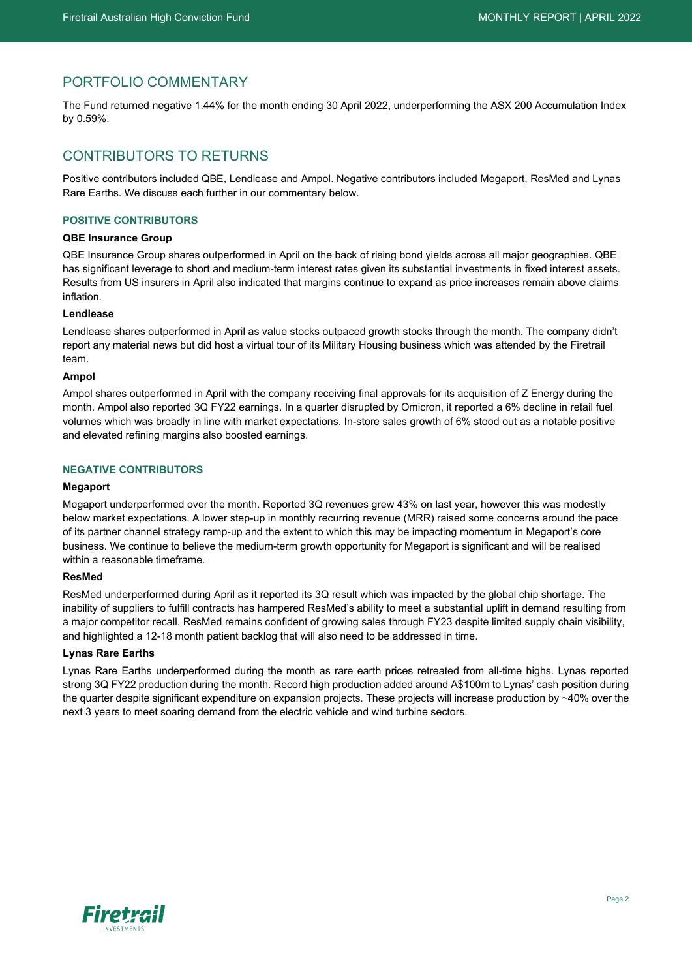# PORTFOLIO COMMENTARY

The Fund returned negative 1.44% for the month ending 30 April 2022, underperforming the ASX 200 Accumulation Index by 0.59%.

# CONTRIBUTORS TO RETURNS

Positive contributors included QBE, Lendlease and Ampol. Negative contributors included Megaport, ResMed and Lynas Rare Earths. We discuss each further in our commentary below.

#### **POSITIVE CONTRIBUTORS**

#### **QBE Insurance Group**

QBE Insurance Group shares outperformed in April on the back of rising bond yields across all major geographies. QBE has significant leverage to short and medium-term interest rates given its substantial investments in fixed interest assets. Results from US insurers in April also indicated that margins continue to expand as price increases remain above claims inflation.

#### **Lendlease**

Lendlease shares outperformed in April as value stocks outpaced growth stocks through the month. The company didn't report any material news but did host a virtual tour of its Military Housing business which was attended by the Firetrail team.

#### **Ampol**

Ampol shares outperformed in April with the company receiving final approvals for its acquisition of Z Energy during the month. Ampol also reported 3Q FY22 earnings. In a quarter disrupted by Omicron, it reported a 6% decline in retail fuel volumes which was broadly in line with market expectations. In-store sales growth of 6% stood out as a notable positive and elevated refining margins also boosted earnings.

#### **NEGATIVE CONTRIBUTORS**

#### **Megaport**

Megaport underperformed over the month. Reported 3Q revenues grew 43% on last year, however this was modestly below market expectations. A lower step-up in monthly recurring revenue (MRR) raised some concerns around the pace of its partner channel strategy ramp-up and the extent to which this may be impacting momentum in Megaport's core business. We continue to believe the medium-term growth opportunity for Megaport is significant and will be realised within a reasonable timeframe.

#### **ResMed**

ResMed underperformed during April as it reported its 3Q result which was impacted by the global chip shortage. The inability of suppliers to fulfill contracts has hampered ResMed's ability to meet a substantial uplift in demand resulting from a major competitor recall. ResMed remains confident of growing sales through FY23 despite limited supply chain visibility, and highlighted a 12-18 month patient backlog that will also need to be addressed in time.

#### **Lynas Rare Earths**

Lynas Rare Earths underperformed during the month as rare earth prices retreated from all-time highs. Lynas reported strong 3Q FY22 production during the month. Record high production added around A\$100m to Lynas' cash position during the quarter despite significant expenditure on expansion projects. These projects will increase production by ~40% over the next 3 years to meet soaring demand from the electric vehicle and wind turbine sectors.

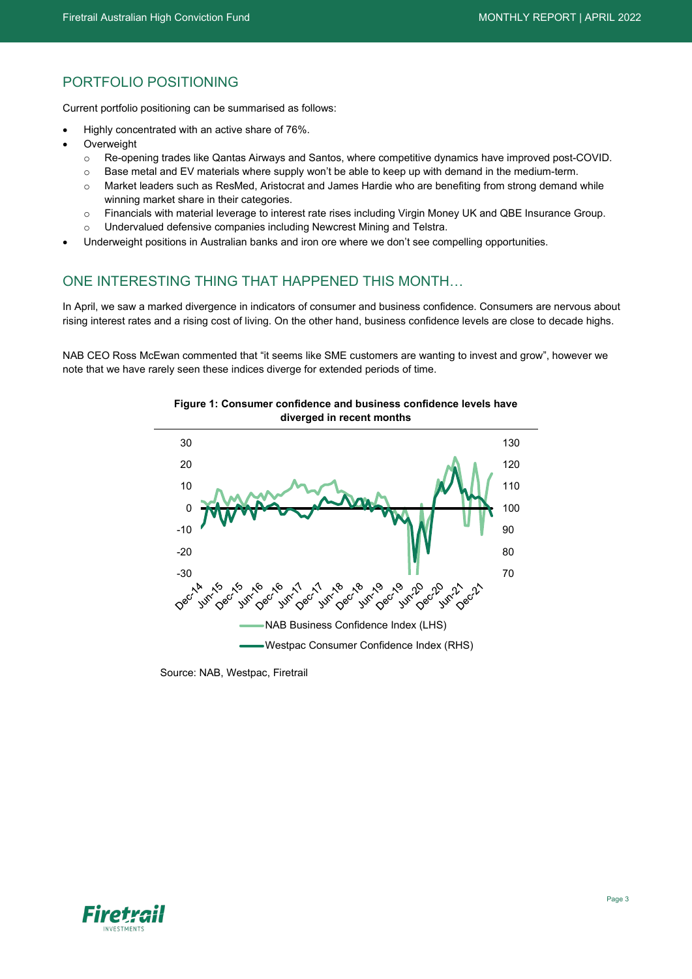# PORTFOLIO POSITIONING

Current portfolio positioning can be summarised as follows:

- Highly concentrated with an active share of 76%.
- **Overweight** 
	- o Re-opening trades like Qantas Airways and Santos, where competitive dynamics have improved post-COVID.
	- $\circ$  Base metal and EV materials where supply won't be able to keep up with demand in the medium-term.
	- o Market leaders such as ResMed, Aristocrat and James Hardie who are benefiting from strong demand while winning market share in their categories.
	- o Financials with material leverage to interest rate rises including Virgin Money UK and QBE Insurance Group. Undervalued defensive companies including Newcrest Mining and Telstra.
- Underweight positions in Australian banks and iron ore where we don't see compelling opportunities.

### ONE INTERESTING THING THAT HAPPENED THIS MONTH…

In April, we saw a marked divergence in indicators of consumer and business confidence. Consumers are nervous about rising interest rates and a rising cost of living. On the other hand, business confidence levels are close to decade highs.

NAB CEO Ross McEwan commented that "it seems like SME customers are wanting to invest and grow", however we note that we have rarely seen these indices diverge for extended periods of time.



**Figure 1: Consumer confidence and business confidence levels have diverged in recent months**

Source: NAB, Westpac, Firetrail